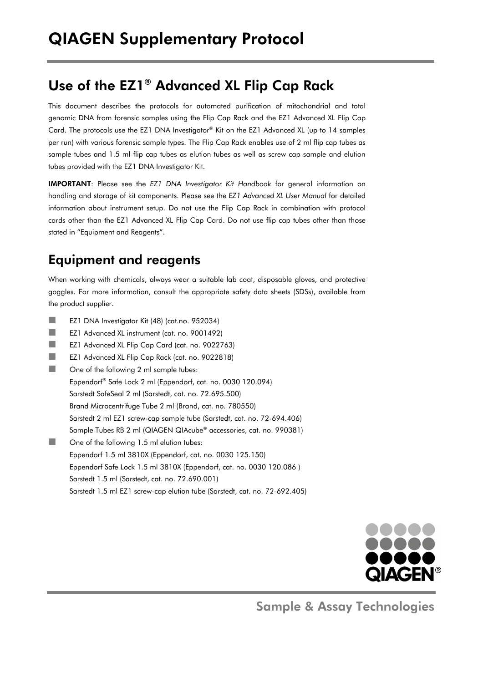# Use of the EZ1® Advanced XL Flip Cap Rack

This document describes the protocols for automated purification of mitochondrial and total genomic DNA from forensic samples using the Flip Cap Rack and the EZ1 Advanced XL Flip Cap Card. The protocols use the EZ1 DNA Investigator® Kit on the EZ1 Advanced XL (up to 14 samples per run) with various forensic sample types. The Flip Cap Rack enables use of 2 ml flip cap tubes as sample tubes and 1.5 ml flip cap tubes as elution tubes as well as screw cap sample and elution tubes provided with the EZ1 DNA Investigator Kit.

IMPORTANT: Please see the *EZ1 DNA Investigator Kit Handbook* for general information on handling and storage of kit components. Please see the *EZ1 Advanced XL User Manual* for detailed information about instrument setup. Do not use the Flip Cap Rack in combination with protocol cards other than the EZ1 Advanced XL Flip Cap Card. Do not use flip cap tubes other than those stated in "Equipment and Reagents".

### Equipment and reagents

When working with chemicals, always wear a suitable lab coat, disposable gloves, and protective goggles. For more information, consult the appropriate safety data sheets (SDSs), available from the product supplier.

- **EZ1 DNA Investigator Kit (48) (cat.no. 952034)**
- EZ1 Advanced XL instrument (cat. no. 9001492)
- EZ1 Advanced XL Flip Cap Card (cat. no. 9022763)
- EZ1 Advanced XL Flip Cap Rack (cat. no. 9022818)
- **Dans** One of the following 2 ml sample tubes:

Eppendorf® Safe Lock 2 ml (Eppendorf, cat. no. 0030 120.094)

Sarstedt SafeSeal 2 ml (Sarstedt, cat. no. 72.695.500)

Brand Microcentrifuge Tube 2 ml (Brand, cat. no. 780550)

- Sarstedt 2 ml EZ1 screw-cap sample tube (Sarstedt, cat. no. 72-694.406)
- Sample Tubes RB 2 ml (QIAGEN QIAcube® accessories, cat. no. 990381)
- **None of the following 1.5 ml elution tubes:** Eppendorf 1.5 ml 3810X (Eppendorf, cat. no. 0030 125.150) Eppendorf Safe Lock 1.5 ml 3810X (Eppendorf, cat. no. 0030 120.086 ) Sarstedt 1.5 ml (Sarstedt, cat. no. 72.690.001) Sarstedt 1.5 ml EZ1 screw-cap elution tube (Sarstedt, cat. no. 72-692.405)



Sample & Assay Technologies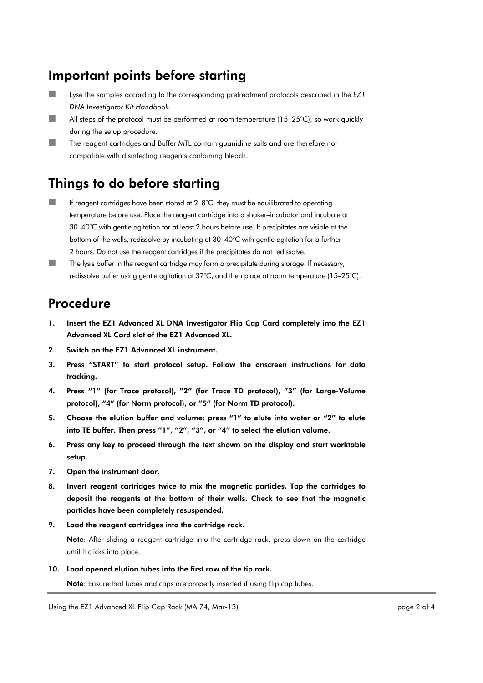### Important points before starting

- Lyse the samples according to the corresponding pretreatment protocols described in the *EZ1 DNA Investigator Kit Handbook*.
- All steps of the protocol must be performed at room temperature  $(15-25^{\circ}C)$ , so work quickly during the setup procedure.
- **The reagent cartridges and Buffer MTL contain guanidine salts and are therefore not** compatible with disinfecting reagents containing bleach.

## Things to do before starting

- If reagent cartridges have been stored at 2–8°C, they must be equilibrated to operating temperature before use. Place the reagent cartridge into a shaker–incubator and incubate at 30–40°C with gentle agitation for at least 2 hours before use. If precipitates are visible at the bottom of the wells, redissolve by incubating at 30–40°C with gentle agitation for a further 2 hours. Do not use the reagent cartridges if the precipitates do not redissolve.
- $\blacksquare$  The lysis buffer in the reagent cartridge may form a precipitate during storage. If necessary, redissolve buffer using gentle agitation at 37°C, and then place at room temperature (15–25°C).

#### Procedure

- 1. Insert the EZ1 Advanced XL DNA Investigator Flip Cap Card completely into the EZ1 Advanced XL Card slot of the EZ1 Advanced XL.
- 2. Switch on the EZ1 Advanced XL instrument.
- 3. Press "START" to start protocol setup. Follow the onscreen instructions for data tracking.
- 4. Press "1" (for Trace protocol), "2" (for Trace TD protocol), "3" (for Large-Volume protocol), "4" (for Norm protocol), or "5" (for Norm TD protocol).
- 5. Choose the elution buffer and volume: press "1" to elute into water or "2" to elute into TE buffer. Then press "1", "2", "3", or "4" to select the elution volume.
- 6. Press any key to proceed through the text shown on the display and start worktable setup.
- 7. Open the instrument door.
- 8. Invert reagent cartridges twice to mix the magnetic particles. Tap the cartridges to deposit the reagents at the bottom of their wells. Check to see that the magnetic particles have been completely resuspended.
- 9. Load the reagent cartridges into the cartridge rack.

Note: After sliding a reagent cartridge into the cartridge rack, press down on the cartridge until it clicks into place.

10. Load opened elution tubes into the first row of the tip rack.

Note: Ensure that tubes and caps are properly inserted if using flip cap tubes.

Using the EZ1 Advanced XL Flip Cap Rack (MA 74, Mar-13) **page 2 of 4** page 2 of 4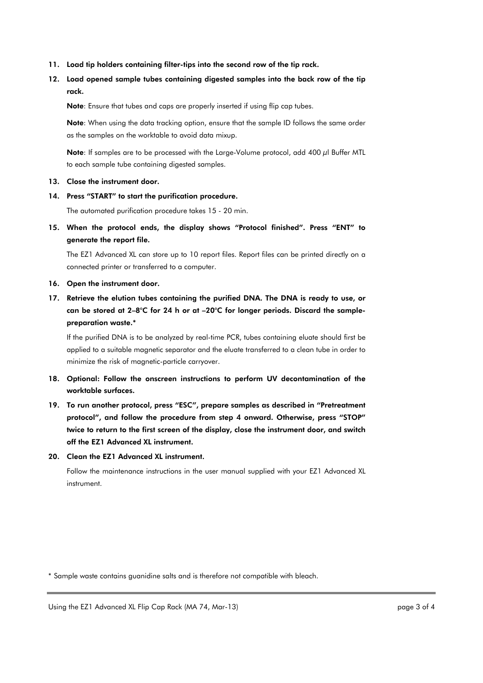- 11. Load tip holders containing filter-tips into the second row of the tip rack.
- 12. Load opened sample tubes containing digested samples into the back row of the tip rack.

Note: Ensure that tubes and caps are properly inserted if using flip cap tubes.

Note: When using the data tracking option, ensure that the sample ID follows the same order as the samples on the worktable to avoid data mixup.

Note: If samples are to be processed with the Large-Volume protocol, add 400 µl Buffer MTL to each sample tube containing digested samples.

#### 13. Close the instrument door.

14. Press "START" to start the purification procedure.

The automated purification procedure takes 15 - 20 min.

15. When the protocol ends, the display shows "Protocol finished". Press "ENT" to generate the report file.

The EZ1 Advanced XL can store up to 10 report files. Report files can be printed directly on a connected printer or transferred to a computer.

- 16. Open the instrument door.
- 17. Retrieve the elution tubes containing the purified DNA. The DNA is ready to use, or can be stored at 2–8°C for 24 h or at –20°C for longer periods. Discard the samplepreparation waste.\*

If the purified DNA is to be analyzed by real-time PCR, tubes containing eluate should first be applied to a suitable magnetic separator and the eluate transferred to a clean tube in order to minimize the risk of magnetic-particle carryover.

- 18. Optional: Follow the onscreen instructions to perform UV decontamination of the worktable surfaces.
- 19. To run another protocol, press "ESC", prepare samples as described in "Pretreatment protocol", and follow the procedure from step 4 onward. Otherwise, press "STOP" twice to return to the first screen of the display, close the instrument door, and switch off the EZ1 Advanced XL instrument.
- 20. Clean the EZ1 Advanced XL instrument.

Follow the maintenance instructions in the user manual supplied with your EZ1 Advanced XL instrument.

\* Sample waste contains guanidine salts and is therefore not compatible with bleach.

Using the EZ1 Advanced XL Flip Cap Rack (MA 74, Mar-13) engle 3 of 4